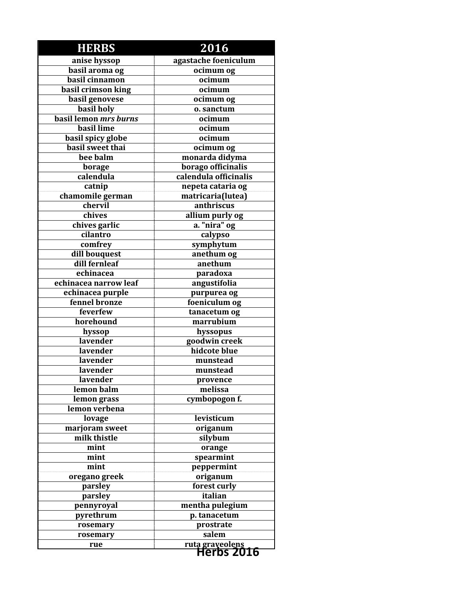| <b>HERBS</b>                   | 2016                                        |
|--------------------------------|---------------------------------------------|
| anise hyssop                   | agastache foeniculum                        |
| basil aroma og                 | ocimum og                                   |
| basil cinnamon                 | ocimum                                      |
| basil crimson king             | ocimum                                      |
| basil genovese                 | ocimum og                                   |
| <b>basil</b> holy              | o. sanctum                                  |
| basil lemon mrs burns          | ocimum                                      |
| basil lime                     | ocimum                                      |
| basil spicy globe              | ocimum                                      |
| basil sweet thai               | ocimum og                                   |
| bee balm                       | monarda didyma                              |
| borage                         | borago officinalis                          |
| calendula                      | calendula officinalis                       |
| catnip                         | nepeta cataria og                           |
| chamomile german               | matricaria(lutea)                           |
| chervil                        | anthriscus                                  |
| chives                         | allium purly og                             |
| chives garlic                  | a. "nira" og                                |
| cilantro                       | calypso                                     |
| comfrey                        | symphytum                                   |
| dill bouquest                  | anethum og                                  |
| dill fernleaf                  | anethum                                     |
| echinacea                      | paradoxa                                    |
| echinacea narrow leaf          | angustifolia                                |
| echinacea purple               | purpurea og                                 |
| fennel bronze                  | foeniculum og                               |
| feverfew                       | tanacetum og                                |
| horehound                      | marrubium                                   |
| hyssop                         | hyssopus                                    |
| lavender                       | goodwin creek                               |
| lavender                       | hidcote blue                                |
| lavender                       | munstead                                    |
| lavender                       | munstead                                    |
| lavender                       | provence                                    |
| lemon balm                     | melissa                                     |
| lemon grass                    | cymbopogon f.                               |
| lemon verbena                  |                                             |
| lovage                         | levisticum                                  |
| marjoram sweet<br>milk thistle | origanum                                    |
|                                | silybum                                     |
| mint                           | orange                                      |
| mint                           | spearmint                                   |
| mint                           | peppermint                                  |
| oregano greek<br>parsley       | origanum<br>forest curly                    |
| parsley                        | italian                                     |
| pennyroyal                     | mentha pulegium                             |
| pyrethrum                      | p. tanacetum                                |
| rosemary                       |                                             |
| rosemary                       | prostrate<br>salem                          |
| rue                            |                                             |
|                                | <b>ruta graveolens</b><br><b>Herbs 2016</b> |